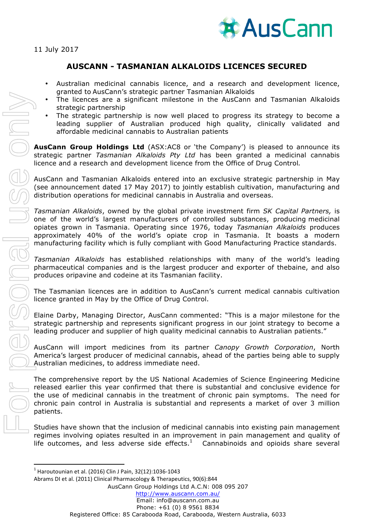

## **AUSCANN - TASMANIAN ALKALOIDS LICENCES SECURED**

- Australian medicinal cannabis licence, and a research and development licence, granted to AusCann's strategic partner Tasmanian Alkaloids
- The licences are a significant milestone in the AusCann and Tasmanian Alkaloids strategic partnership
- The strategic partnership is now well placed to progress its strategy to become a leading supplier of Australian produced high quality, clinically validated and affordable medicinal cannabis to Australian patients

**AusCann Group Holdings Ltd** (ASX:AC8 or 'the Company') is pleased to announce its strategic partner *Tasmanian Alkaloids Pty Ltd* has been granted a medicinal cannabis licence and a research and development licence from the Office of Drug Control*.* 

AusCann and Tasmanian Alkaloids entered into an exclusive strategic partnership in May (see announcement dated 17 May 2017) to jointly establish cultivation, manufacturing and distribution operations for medicinal cannabis in Australia and overseas.

*Tasmanian Alkaloids*, owned by the global private investment firm *SK Capital Partners,* is one of the world's largest manufacturers of controlled substances, producing medicinal opiates grown in Tasmania. Operating since 1976, today *Tasmanian Alkaloids* produces approximately 40% of the world's opiate crop in Tasmania. It boasts a modern manufacturing facility which is fully compliant with Good Manufacturing Practice standards.

*Tasmanian Alkaloids* has established relationships with many of the world's leading pharmaceutical companies and is the largest producer and exporter of thebaine, and also produces oripavine and codeine at its Tasmanian facility.

The Tasmanian licences are in addition to AusCann's current medical cannabis cultivation licence granted in May by the Office of Drug Control.

Elaine Darby, Managing Director, AusCann commented: "This is a major milestone for the strategic partnership and represents significant progress in our joint strategy to become a leading producer and supplier of high quality medicinal cannabis to Australian patients."

AusCann will import medicines from its partner *Canopy Growth Corporation*, North America's largest producer of medicinal cannabis, ahead of the parties being able to supply Australian medicines, to address immediate need.

The comprehensive report by the US National Academies of Science Engineering Medicine released earlier this year confirmed that there is substantial and conclusive evidence for the use of medicinal cannabis in the treatment of chronic pain symptoms. The need for chronic pain control in Australia is substantial and represents a market of over 3 million patients.

Studies have shown that the inclusion of medicinal cannabis into existing pain management regimes involving opiates resulted in an improvement in pain management and quality of life outcomes, and less adverse side effects. $1$  Cannabinoids and opioids share several

<u> 1989 - Jan Samuel Barbara, político establecido de la provincia de la provincia de la provincia de la provinci</u>

AusCann Group Holdings Ltd A.C.N: 008 095 207

 $1$  Haroutounian et al. (2016) Clin J Pain, 32(12):1036-1043